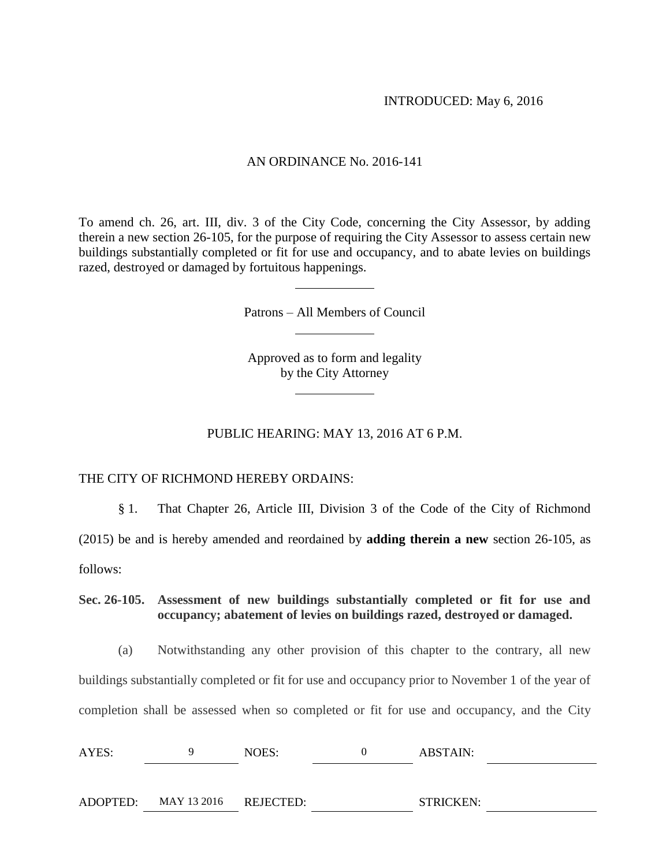## AN ORDINANCE No. 2016-141

To amend ch. 26, art. III, div. 3 of the City Code, concerning the City Assessor, by adding therein a new section 26-105, for the purpose of requiring the City Assessor to assess certain new buildings substantially completed or fit for use and occupancy, and to abate levies on buildings razed, destroyed or damaged by fortuitous happenings.

Patrons – All Members of Council

Approved as to form and legality by the City Attorney

## PUBLIC HEARING: MAY 13, 2016 AT 6 P.M.

THE CITY OF RICHMOND HEREBY ORDAINS:

§ 1. That Chapter 26, Article III, Division 3 of the Code of the City of Richmond (2015) be and is hereby amended and reordained by **adding therein a new** section 26-105, as follows:

**Sec. 26-105. Assessment of new buildings substantially completed or fit for use and occupancy; abatement of levies on buildings razed, destroyed or damaged.** 

(a) Notwithstanding any other provision of this chapter to the contrary, all new buildings substantially completed or fit for use and occupancy prior to November 1 of the year of completion shall be assessed when so completed or fit for use and occupancy, and the City

| AYES:<br>$\sim$ $\sim$ |  | NOES. |  | <b>ABSTAIN:</b> |  |
|------------------------|--|-------|--|-----------------|--|
|------------------------|--|-------|--|-----------------|--|

| ADOPTED: | MAY 13 2016 | <b>REJECTED:</b> | <b>STRICKEN:</b> |
|----------|-------------|------------------|------------------|
|----------|-------------|------------------|------------------|